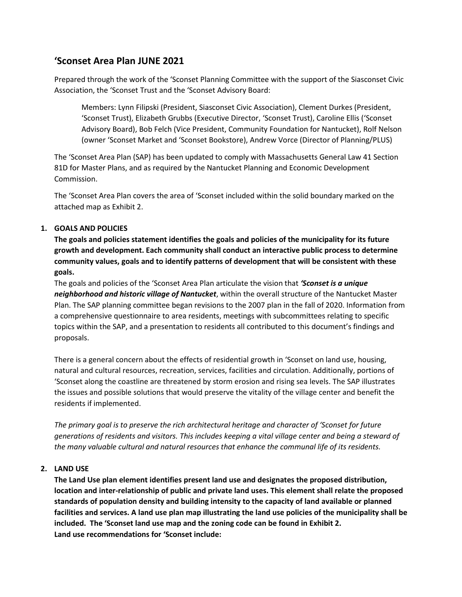# **'Sconset Area Plan JUNE 2021**

Prepared through the work of the 'Sconset Planning Committee with the support of the Siasconset Civic Association, the 'Sconset Trust and the 'Sconset Advisory Board:

Members: Lynn Filipski (President, Siasconset Civic Association), Clement Durkes (President, 'Sconset Trust), Elizabeth Grubbs (Executive Director, 'Sconset Trust), Caroline Ellis ('Sconset Advisory Board), Bob Felch (Vice President, Community Foundation for Nantucket), Rolf Nelson (owner 'Sconset Market and 'Sconset Bookstore), Andrew Vorce (Director of Planning/PLUS)

The 'Sconset Area Plan (SAP) has been updated to comply with Massachusetts General Law 41 Section 81D for Master Plans, and as required by the Nantucket Planning and Economic Development Commission.

The 'Sconset Area Plan covers the area of 'Sconset included within the solid boundary marked on the attached map as Exhibit 2.

### **1. GOALS AND POLICIES**

**The goals and policies statement identifies the goals and policies of the municipality for its future growth and development. Each community shall conduct an interactive public process to determine community values, goals and to identify patterns of development that will be consistent with these goals.**

The goals and policies of the 'Sconset Area Plan articulate the vision that *'Sconset is a unique neighborhood and historic village of Nantucket*, within the overall structure of the Nantucket Master Plan. The SAP planning committee began revisions to the 2007 plan in the fall of 2020. Information from a comprehensive questionnaire to area residents, meetings with subcommittees relating to specific topics within the SAP, and a presentation to residents all contributed to this document's findings and proposals.

There is a general concern about the effects of residential growth in 'Sconset on land use, housing, natural and cultural resources, recreation, services, facilities and circulation. Additionally, portions of 'Sconset along the coastline are threatened by storm erosion and rising sea levels. The SAP illustrates the issues and possible solutions that would preserve the vitality of the village center and benefit the residents if implemented.

*The primary goal is to preserve the rich architectural heritage and character of 'Sconset for future generations of residents and visitors. This includes keeping a vital village center and being a steward of the many valuable cultural and natural resources that enhance the communal life of its residents.*

#### **2. LAND USE**

**The Land Use plan element identifies present land use and designates the proposed distribution, location and inter-relationship of public and private land uses. This element shall relate the proposed standards of population density and building intensity to the capacity of land available or planned facilities and services. A land use plan map illustrating the land use policies of the municipality shall be included. The 'Sconset land use map and the zoning code can be found in Exhibit 2. Land use recommendations for 'Sconset include:**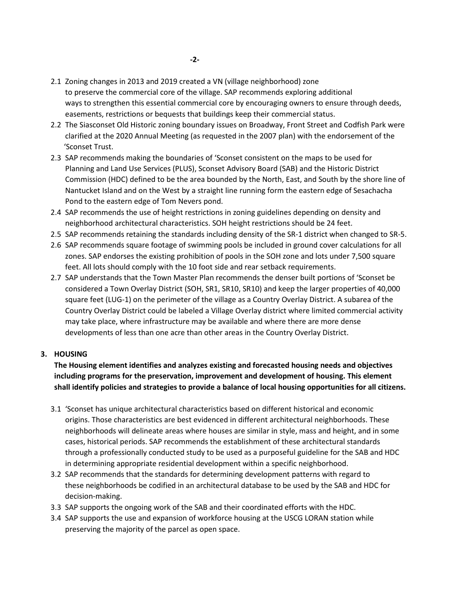- 2.1 Zoning changes in 2013 and 2019 created a VN (village neighborhood) zone to preserve the commercial core of the village. SAP recommends exploring additional ways to strengthen this essential commercial core by encouraging owners to ensure through deeds, easements, restrictions or bequests that buildings keep their commercial status.
- 2.2 The Siasconset Old Historic zoning boundary issues on Broadway, Front Street and Codfish Park were clarified at the 2020 Annual Meeting (as requested in the 2007 plan) with the endorsement of the 'Sconset Trust.
- 2.3 SAP recommends making the boundaries of 'Sconset consistent on the maps to be used for Planning and Land Use Services (PLUS), Sconset Advisory Board (SAB) and the Historic District Commission (HDC) defined to be the area bounded by the North, East, and South by the shore line of Nantucket Island and on the West by a straight line running form the eastern edge of Sesachacha Pond to the eastern edge of Tom Nevers pond.
- 2.4 SAP recommends the use of height restrictions in zoning guidelines depending on density and neighborhood architectural characteristics. SOH height restrictions should be 24 feet.
- 2.5 SAP recommends retaining the standards including density of the SR-1 district when changed to SR-5.
- 2.6 SAP recommends square footage of swimming pools be included in ground cover calculations for all zones. SAP endorses the existing prohibition of pools in the SOH zone and lots under 7,500 square feet. All lots should comply with the 10 foot side and rear setback requirements.
- 2.7 SAP understands that the Town Master Plan recommends the denser built portions of 'Sconset be considered a Town Overlay District (SOH, SR1, SR10, SR10) and keep the larger properties of 40,000 square feet (LUG-1) on the perimeter of the village as a Country Overlay District. A subarea of the Country Overlay District could be labeled a Village Overlay district where limited commercial activity may take place, where infrastructure may be available and where there are more dense developments of less than one acre than other areas in the Country Overlay District.

## **3. HOUSING**

## **The Housing element identifies and analyzes existing and forecasted housing needs and objectives including programs for the preservation, improvement and development of housing. This element shall identify policies and strategies to provide a balance of local housing opportunities for all citizens.**

- 3.1 'Sconset has unique architectural characteristics based on different historical and economic origins. Those characteristics are best evidenced in different architectural neighborhoods. These neighborhoods will delineate areas where houses are similar in style, mass and height, and in some cases, historical periods. SAP recommends the establishment of these architectural standards through a professionally conducted study to be used as a purposeful guideline for the SAB and HDC in determining appropriate residential development within a specific neighborhood.
- 3.2 SAP recommends that the standards for determining development patterns with regard to these neighborhoods be codified in an architectural database to be used by the SAB and HDC for decision-making.
- 3.3 SAP supports the ongoing work of the SAB and their coordinated efforts with the HDC.
- 3.4 SAP supports the use and expansion of workforce housing at the USCG LORAN station while preserving the majority of the parcel as open space.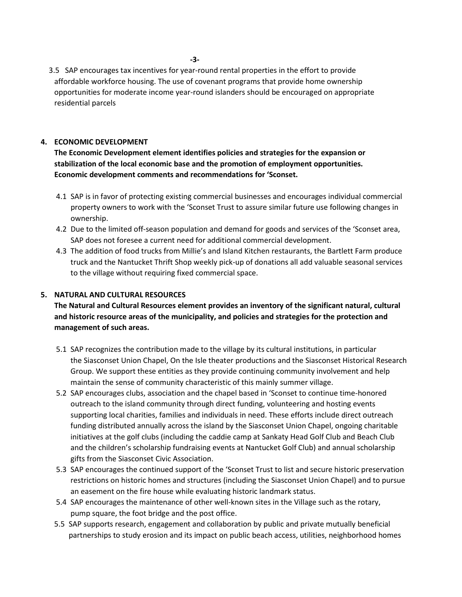3.5 SAP encourages tax incentives for year-round rental properties in the effort to provide affordable workforce housing. The use of covenant programs that provide home ownership opportunities for moderate income year-round islanders should be encouraged on appropriate residential parcels

## **4. ECONOMIC DEVELOPMENT**

**The Economic Development element identifies policies and strategies for the expansion or stabilization of the local economic base and the promotion of employment opportunities. Economic development comments and recommendations for 'Sconset.**

- 4.1 SAP is in favor of protecting existing commercial businesses and encourages individual commercial property owners to work with the 'Sconset Trust to assure similar future use following changes in ownership.
- 4.2 Due to the limited off-season population and demand for goods and services of the 'Sconset area, SAP does not foresee a current need for additional commercial development.
- 4.3 The addition of food trucks from Millie's and Island Kitchen restaurants, the Bartlett Farm produce truck and the Nantucket Thrift Shop weekly pick-up of donations all add valuable seasonal services to the village without requiring fixed commercial space.

#### **5. NATURAL AND CULTURAL RESOURCES**

**The Natural and Cultural Resources element provides an inventory of the significant natural, cultural and historic resource areas of the municipality, and policies and strategies for the protection and management of such areas.**

- 5.1 SAP recognizes the contribution made to the village by its cultural institutions, in particular the Siasconset Union Chapel, On the Isle theater productions and the Siasconset Historical Research Group. We support these entities as they provide continuing community involvement and help maintain the sense of community characteristic of this mainly summer village.
- 5.2 SAP encourages clubs, association and the chapel based in 'Sconset to continue time-honored outreach to the island community through direct funding, volunteering and hosting events supporting local charities, families and individuals in need. These efforts include direct outreach funding distributed annually across the island by the Siasconset Union Chapel, ongoing charitable initiatives at the golf clubs (including the caddie camp at Sankaty Head Golf Club and Beach Club and the children's scholarship fundraising events at Nantucket Golf Club) and annual scholarship gifts from the Siasconset Civic Association.
- 5.3 SAP encourages the continued support of the 'Sconset Trust to list and secure historic preservation restrictions on historic homes and structures (including the Siasconset Union Chapel) and to pursue an easement on the fire house while evaluating historic landmark status.
- 5.4 SAP encourages the maintenance of other well-known sites in the Village such as the rotary, pump square, the foot bridge and the post office.
- 5.5 SAP supports research, engagement and collaboration by public and private mutually beneficial partnerships to study erosion and its impact on public beach access, utilities, neighborhood homes

**-3-**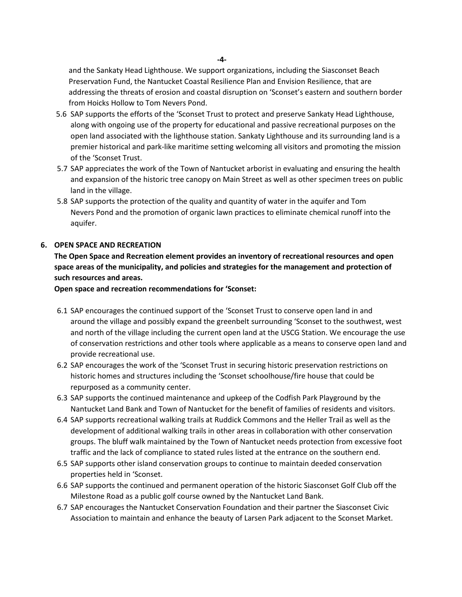**-4-**

and the Sankaty Head Lighthouse. We support organizations, including the Siasconset Beach Preservation Fund, the Nantucket Coastal Resilience Plan and Envision Resilience, that are addressing the threats of erosion and coastal disruption on 'Sconset's eastern and southern border from Hoicks Hollow to Tom Nevers Pond.

- 5.6 SAP supports the efforts of the 'Sconset Trust to protect and preserve Sankaty Head Lighthouse, along with ongoing use of the property for educational and passive recreational purposes on the open land associated with the lighthouse station. Sankaty Lighthouse and its surrounding land is a premier historical and park-like maritime setting welcoming all visitors and promoting the mission of the 'Sconset Trust.
- 5.7 SAP appreciates the work of the Town of Nantucket arborist in evaluating and ensuring the health and expansion of the historic tree canopy on Main Street as well as other specimen trees on public land in the village.
- 5.8 SAP supports the protection of the quality and quantity of water in the aquifer and Tom Nevers Pond and the promotion of organic lawn practices to eliminate chemical runoff into the aquifer.

#### **6. OPEN SPACE AND RECREATION**

**The Open Space and Recreation element provides an inventory of recreational resources and open space areas of the municipality, and policies and strategies for the management and protection of such resources and areas.**

**Open space and recreation recommendations for 'Sconset:**

- 6.1 SAP encourages the continued support of the 'Sconset Trust to conserve open land in and around the village and possibly expand the greenbelt surrounding 'Sconset to the southwest, west and north of the village including the current open land at the USCG Station. We encourage the use of conservation restrictions and other tools where applicable as a means to conserve open land and provide recreational use.
- 6.2 SAP encourages the work of the 'Sconset Trust in securing historic preservation restrictions on historic homes and structures including the 'Sconset schoolhouse/fire house that could be repurposed as a community center.
- 6.3 SAP supports the continued maintenance and upkeep of the Codfish Park Playground by the Nantucket Land Bank and Town of Nantucket for the benefit of families of residents and visitors.
- 6.4 SAP supports recreational walking trails at Ruddick Commons and the Heller Trail as well as the development of additional walking trails in other areas in collaboration with other conservation groups. The bluff walk maintained by the Town of Nantucket needs protection from excessive foot traffic and the lack of compliance to stated rules listed at the entrance on the southern end.
- 6.5 SAP supports other island conservation groups to continue to maintain deeded conservation properties held in 'Sconset.
- 6.6 SAP supports the continued and permanent operation of the historic Siasconset Golf Club off the Milestone Road as a public golf course owned by the Nantucket Land Bank.
- 6.7 SAP encourages the Nantucket Conservation Foundation and their partner the Siasconset Civic Association to maintain and enhance the beauty of Larsen Park adjacent to the Sconset Market.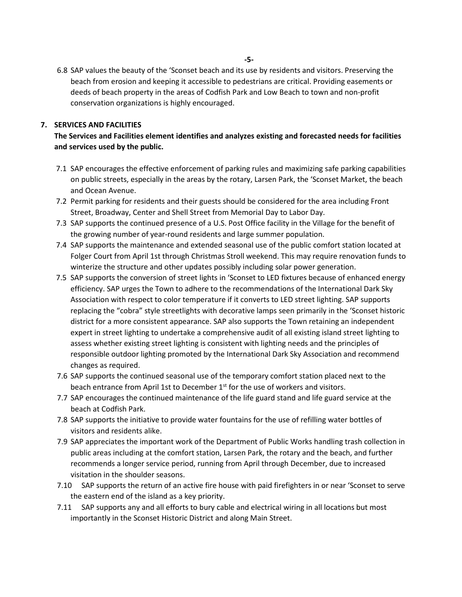6.8 SAP values the beauty of the 'Sconset beach and its use by residents and visitors. Preserving the beach from erosion and keeping it accessible to pedestrians are critical. Providing easements or deeds of beach property in the areas of Codfish Park and Low Beach to town and non-profit conservation organizations is highly encouraged.

#### **7. SERVICES AND FACILITIES**

## **The Services and Facilities element identifies and analyzes existing and forecasted needs for facilities and services used by the public.**

- 7.1 SAP encourages the effective enforcement of parking rules and maximizing safe parking capabilities on public streets, especially in the areas by the rotary, Larsen Park, the 'Sconset Market, the beach and Ocean Avenue.
- 7.2 Permit parking for residents and their guests should be considered for the area including Front Street, Broadway, Center and Shell Street from Memorial Day to Labor Day.
- 7.3 SAP supports the continued presence of a U.S. Post Office facility in the Village for the benefit of the growing number of year-round residents and large summer population.
- 7.4 SAP supports the maintenance and extended seasonal use of the public comfort station located at Folger Court from April 1st through Christmas Stroll weekend. This may require renovation funds to winterize the structure and other updates possibly including solar power generation.
- 7.5 SAP supports the conversion of street lights in 'Sconset to LED fixtures because of enhanced energy efficiency. SAP urges the Town to adhere to the recommendations of the International Dark Sky Association with respect to color temperature if it converts to LED street lighting. SAP supports replacing the "cobra" style streetlights with decorative lamps seen primarily in the 'Sconset historic district for a more consistent appearance. SAP also supports the Town retaining an independent expert in street lighting to undertake a comprehensive audit of all existing island street lighting to assess whether existing street lighting is consistent with lighting needs and the principles of responsible outdoor lighting promoted by the International Dark Sky Association and recommend changes as required.
- 7.6 SAP supports the continued seasonal use of the temporary comfort station placed next to the beach entrance from April 1st to December  $1<sup>st</sup>$  for the use of workers and visitors.
- 7.7 SAP encourages the continued maintenance of the life guard stand and life guard service at the beach at Codfish Park.
- 7.8 SAP supports the initiative to provide water fountains for the use of refilling water bottles of visitors and residents alike.
- 7.9 SAP appreciates the important work of the Department of Public Works handling trash collection in public areas including at the comfort station, Larsen Park, the rotary and the beach, and further recommends a longer service period, running from April through December, due to increased visitation in the shoulder seasons.
- 7.10 SAP supports the return of an active fire house with paid firefighters in or near 'Sconset to serve the eastern end of the island as a key priority.
- 7.11 SAP supports any and all efforts to bury cable and electrical wiring in all locations but most importantly in the Sconset Historic District and along Main Street.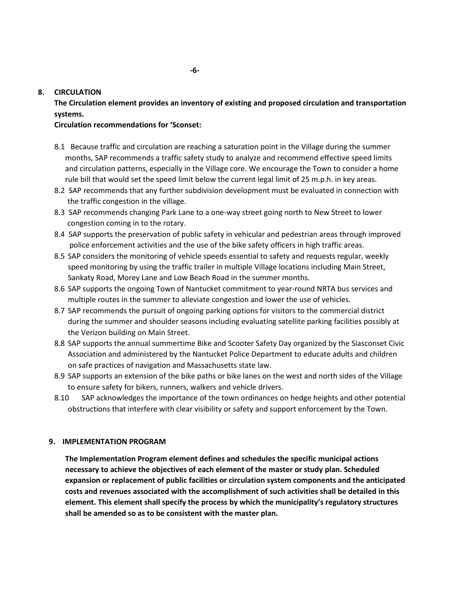#### **8. CIRCULATION**

**The Circulation element provides an inventory of existing and proposed circulation and transportation systems.**

#### **Circulation recommendations for 'Sconset:**

- 8.1 Because traffic and circulation are reaching a saturation point in the Village during the summer months, SAP recommends a traffic safety study to analyze and recommend effective speed limits and circulation patterns, especially in the Village core. We encourage the Town to consider a home rule bill that would set the speed limit below the current legal limit of 25 m.p.h. in key areas.
- 8.2 SAP recommends that any further subdivision development must be evaluated in connection with the traffic congestion in the village.
- 8.3 SAP recommends changing Park Lane to a one-way street going north to New Street to lower congestion coming in to the rotary.
- 8.4 SAP supports the preservation of public safety in vehicular and pedestrian areas through improved police enforcement activities and the use of the bike safety officers in high traffic areas.
- 8.5 SAP considers the monitoring of vehicle speeds essential to safety and requests regular, weekly speed monitoring by using the traffic trailer in multiple Village locations including Main Street, Sankaty Road, Morey Lane and Low Beach Road in the summer months.
- 8.6 SAP supports the ongoing Town of Nantucket commitment to year-round NRTA bus services and multiple routes in the summer to alleviate congestion and lower the use of vehicles.
- 8.7 SAP recommends the pursuit of ongoing parking options for visitors to the commercial district during the summer and shoulder seasons including evaluating satellite parking facilities possibly at the Verizon building on Main Street.
- 8.8 SAP supports the annual summertime Bike and Scooter Safety Day organized by the Siasconset Civic Association and administered by the Nantucket Police Department to educate adults and children on safe practices of navigation and Massachusetts state law.
- 8.9 SAP supports an extension of the bike paths or bike lanes on the west and north sides of the Village to ensure safety for bikers, runners, walkers and vehicle drivers.
- 8.10 SAP acknowledges the importance of the town ordinances on hedge heights and other potential obstructions that interfere with clear visibility or safety and support enforcement by the Town.

#### **9. IMPLEMENTATION PROGRAM**

**The Implementation Program element defines and schedules the specific municipal actions necessary to achieve the objectives of each element of the master or study plan. Scheduled expansion or replacement of public facilities or circulation system components and the anticipated costs and revenues associated with the accomplishment of such activities shall be detailed in this element. This element shall specify the process by which the municipality's regulatory structures shall be amended so as to be consistent with the master plan.**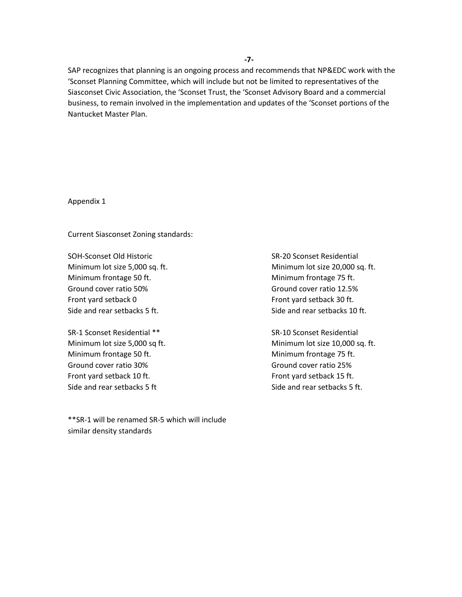SAP recognizes that planning is an ongoing process and recommends that NP&EDC work with the 'Sconset Planning Committee, which will include but not be limited to representatives of the Siasconset Civic Association, the 'Sconset Trust, the 'Sconset Advisory Board and a commercial business, to remain involved in the implementation and updates of the 'Sconset portions of the Nantucket Master Plan.

Appendix 1

Current Siasconset Zoning standards:

SOH-Sconset Old Historic SR-20 Sconset Residential Minimum frontage 50 ft. Minimum frontage 75 ft. Ground cover ratio 50% Ground cover ratio 12.5% Front yard setback 0 Front yard setback 30 ft. Side and rear setbacks 5 ft. Side and rear setbacks 10 ft.

SR-1 Sconset Residential \*\* SR-10 Sconset Residential Minimum frontage 50 ft. Minimum frontage 75 ft. Ground cover ratio 30% Ground cover ratio 25% Front yard setback 10 ft. Front yard setback 15 ft. Side and rear setbacks 5 ft Side and rear setbacks 5 ft.

\*\*SR-1 will be renamed SR-5 which will include similar density standards

Minimum lot size 5,000 sq. ft. Minimum lot size 20,000 sq. ft.

Minimum lot size 5,000 sq ft. Minimum lot size 10,000 sq. ft.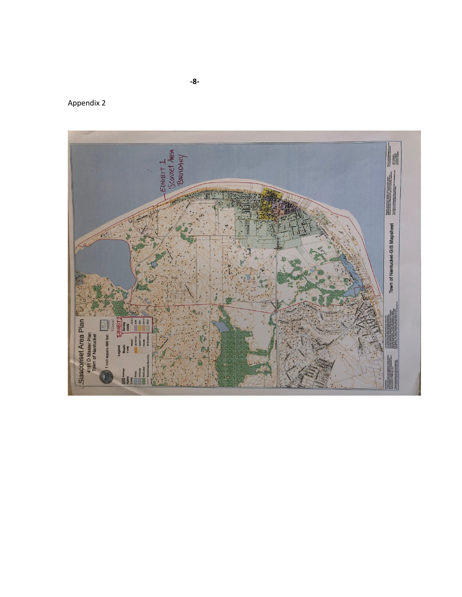

Appendix 2

**- 8 -**